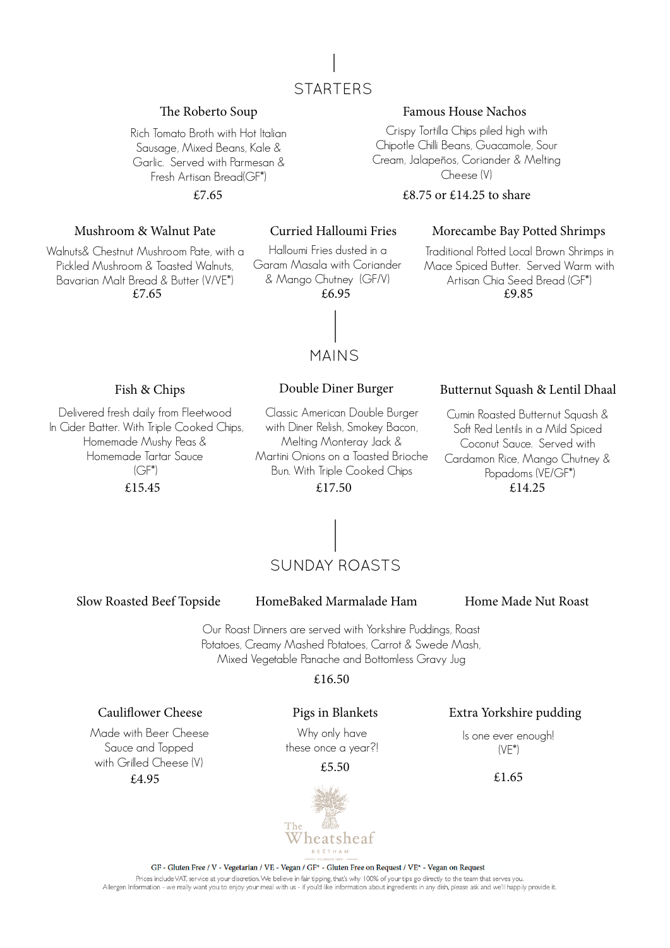

### The Roberto Soup

Rich Tomato Broth with Hot Italian Sausage, Mixed Beans, Kale & Garlic. Served with Parmesan & Fresh Artisan Bread(GF\*)

£7.65

### Mushroom & Walnut Pate

Walnuts& Chestnut Mushroom Pate, with a Pickled Mushroom & Toasted Walnuts, Bavarian Malt Bread & Butter (V/VE\*) £7.65

### Curried Halloumi Fries

Halloumi Fries dusted in a Garam Masala with Coriander & Mango Chutney (GF/V) £6.95

### Morecambe Bay Potted Shrimps

Crispy Tortilla Chips piled high with Chipotle Chilli Beans, Guacamole, Sour Cream, Jalapeños, Coriander & Melting Cheese (V) £8.75 or £14.25 to share

Famous House Nachos

£9.85 Traditional Potted Local Brown Shrimps in Mace Spiced Butter. Served Warm with Artisan Chia Seed Bread (GF\*)

MAINS

Fish & Chips Double Diner Burger

Delivered fresh daily from Fleetwood In Cider Batter. With Triple Cooked Chips, Homemade Mushy Peas & Homemade Tartar Sauce  $(CF^*)$ £15.45

### Classic American Double Burger with Diner Relish, Smokey Bacon, Melting Monteray Jack & Martini Onions on a Toasted Brioche Bun. With Triple Cooked Chips

£17.50

### Butternut Squash & Lentil Dhaal

Cumin Roasted Butternut Squash & Soft Red Lentils in a Mild Spiced Coconut Sauce. Served with Cardamon Rice, Mango Chutney & Popadoms (VE/GF\*) £14.25



Slow Roasted Beef Topside

### HomeBaked Marmalade Ham Home Made Nut Roast

Our Roast Dinners are served with Yorkshire Puddings, Roast Potatoes, Creamy Mashed Potatoes, Carrot & Swede Mash, Mixed Vegetable Panache and Bottomless Gravy Jug

### £16.50

### Caulifower Cheese

Made with Beer Cheese Sauce and Topped with Grilled Cheese (V) £4.95

### Pigs in Blankets

Why only have these once a year?!

### £5.50



## Extra Yorkshire pudding

Is one ever enough! (VE\*)

£1.65

### GF - Gluten Free / V - Vegetarian / VE - Vegan / GF\* - Gluten Free on Request / VE\* - Vegan on Request Prices include VAT, service at your discretion. We believe in fair tipping, that's why 100% of your tips go directly to the team that serves you. Allergen Information - we really want you to enjoy your meal with us - if you'd like information about ingredients in any dish, please ask and we'll happily provide it.